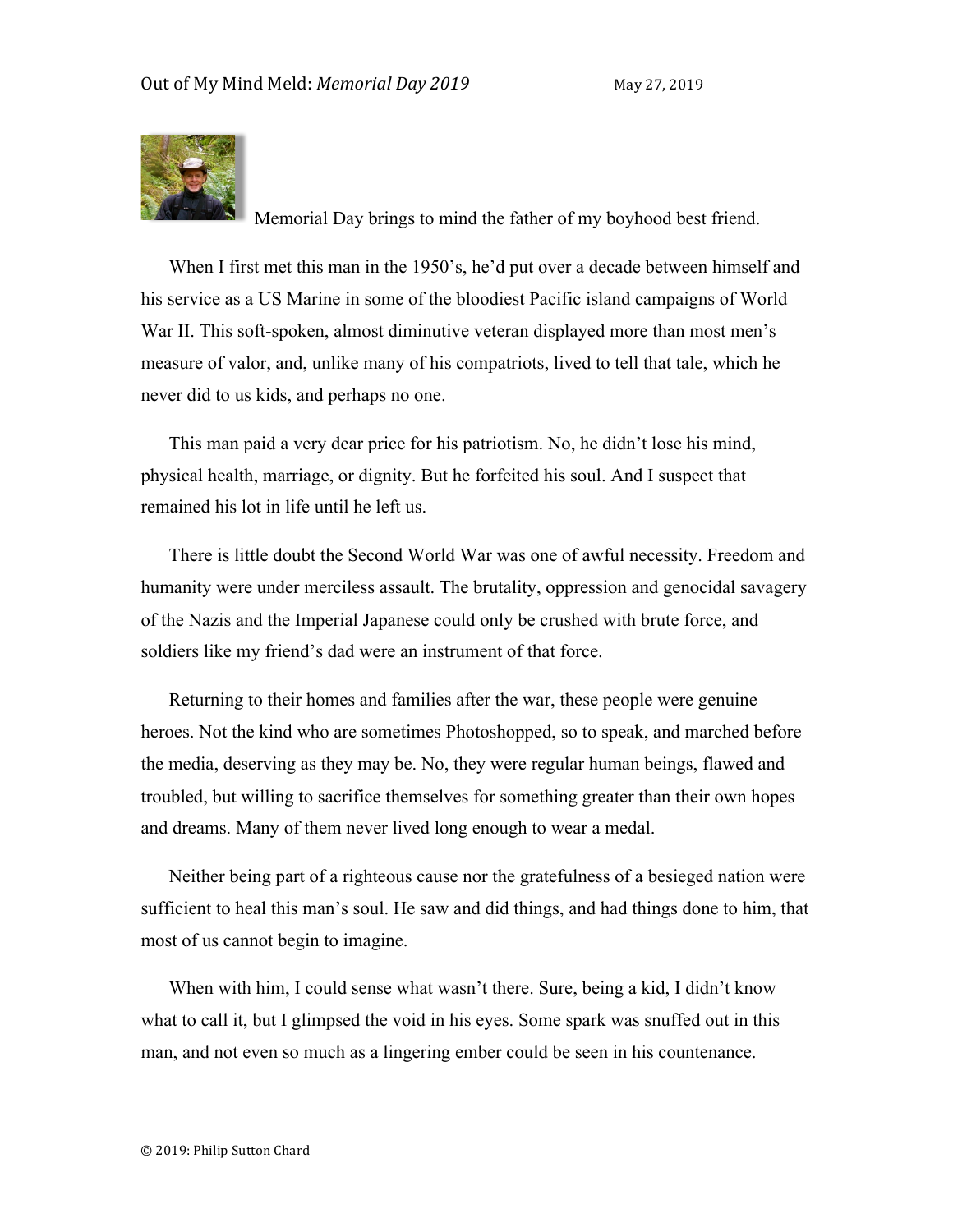

Memorial Day brings to mind the father of my boyhood best friend.

When I first met this man in the 1950's, he'd put over a decade between himself and his service as a US Marine in some of the bloodiest Pacific island campaigns of World War II. This soft-spoken, almost diminutive veteran displayed more than most men's measure of valor, and, unlike many of his compatriots, lived to tell that tale, which he never did to us kids, and perhaps no one.

This man paid a very dear price for his patriotism. No, he didn't lose his mind, physical health, marriage, or dignity. But he forfeited his soul. And I suspect that remained his lot in life until he left us.

There is little doubt the Second World War was one of awful necessity. Freedom and humanity were under merciless assault. The brutality, oppression and genocidal savagery of the Nazis and the Imperial Japanese could only be crushed with brute force, and soldiers like my friend's dad were an instrument of that force.

Returning to their homes and families after the war, these people were genuine heroes. Not the kind who are sometimes Photoshopped, so to speak, and marched before the media, deserving as they may be. No, they were regular human beings, flawed and troubled, but willing to sacrifice themselves for something greater than their own hopes and dreams. Many of them never lived long enough to wear a medal.

Neither being part of a righteous cause nor the gratefulness of a besieged nation were sufficient to heal this man's soul. He saw and did things, and had things done to him, that most of us cannot begin to imagine.

When with him, I could sense what wasn't there. Sure, being a kid, I didn't know what to call it, but I glimpsed the void in his eyes. Some spark was snuffed out in this man, and not even so much as a lingering ember could be seen in his countenance.